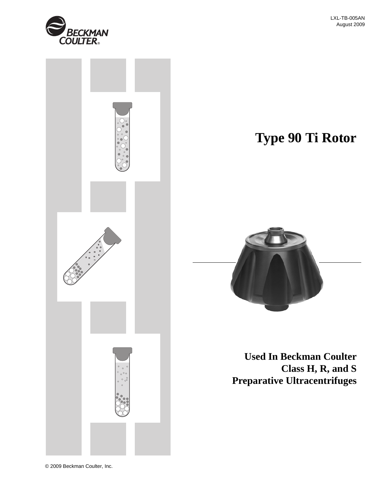



© 2009 Beckman Coulter, Inc.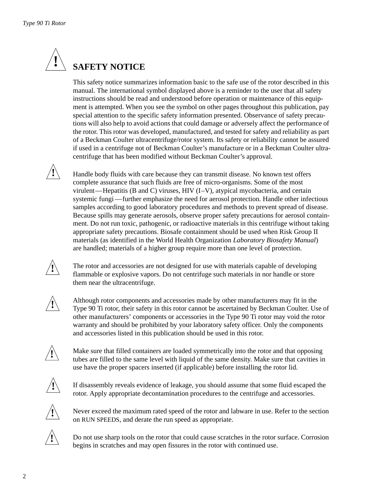

# **SAFETY NOTICE**

This safety notice summarizes information basic to the safe use of the rotor described in this manual. The international symbol displayed above is a reminder to the user that all safety instructions should be read and understood before operation or maintenance of this equipment is attempted. When you see the symbol on other pages throughout this publication, pay special attention to the specific safety information presented. Observance of safety precautions will also help to avoid actions that could damage or adversely affect the performance of the rotor. This rotor was developed, manufactured, and tested for safety and reliability as part of a Beckman Coulter ultracentrifuge/rotor system. Its safety or reliability cannot be assured if used in a centrifuge not of Beckman Coulter's manufacture or in a Beckman Coulter ultracentrifuge that has been modified without Beckman Coulter's approval.

Handle body fluids with care because they can transmit disease. No known test offers complete assurance that such fluids are free of micro-organisms. Some of the most virulent—Hepatitis (B and C) viruses, HIV  $(I-V)$ , atypical mycobacteria, and certain systemic fungi —further emphasize the need for aerosol protection. Handle other infectious samples according to good laboratory procedures and methods to prevent spread of disease. Because spills may generate aerosols, observe proper safety precautions for aerosol containment. Do not run toxic, pathogenic, or radioactive materials in this centrifuge without taking appropriate safety precautions. Biosafe containment should be used when Risk Group II materials (as identified in the World Health Organization *Laboratory Biosafety Manual*) are handled; materials of a higher group require more than one level of protection.

The rotor and accessories are not designed for use with materials capable of developing flammable or explosive vapors. Do not centrifuge such materials in nor handle or store them near the ultracentrifuge.

**!**

**!**

**!**

Although rotor components and accessories made by other manufacturers may fit in the Type 90 Ti rotor, their safety in this rotor cannot be ascertained by Beckman Coulter. Use of other manufacturers' components or accessories in the Type 90 Ti rotor may void the rotor warranty and should be prohibited by your laboratory safety officer. Only the components and accessories listed in this publication should be used in this rotor.



Make sure that filled containers are loaded symmetrically into the rotor and that opposing tubes are filled to the same level with liquid of the same density. Make sure that cavities in use have the proper spacers inserted (if applicable) before installing the rotor lid.



If disassembly reveals evidence of leakage, you should assume that some fluid escaped the rotor. Apply appropriate decontamination procedures to the centrifuge and accessories.



Never exceed the maximum rated speed of the rotor and labware in use. Refer to the section on RUN SPEEDS, and derate the run speed as appropriate.



Do not use sharp tools on the rotor that could cause scratches in the rotor surface. Corrosion begins in scratches and may open fissures in the rotor with continued use.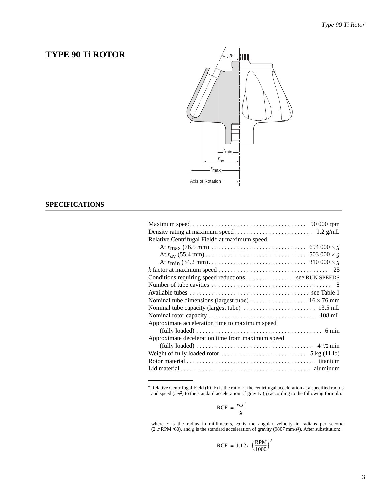## **TYPE 90 Ti ROTOR**



## **SPECIFICATIONS**

| Relative Centrifugal Field* at maximum speed                                                                 |  |
|--------------------------------------------------------------------------------------------------------------|--|
|                                                                                                              |  |
|                                                                                                              |  |
|                                                                                                              |  |
|                                                                                                              |  |
| Conditions requiring speed reductions  see RUN SPEEDS                                                        |  |
|                                                                                                              |  |
|                                                                                                              |  |
|                                                                                                              |  |
|                                                                                                              |  |
|                                                                                                              |  |
| Approximate acceleration time to maximum speed                                                               |  |
| $(fully \ loaded) \dots \dots \dots \dots \dots \dots \dots \dots \dots \dots \dots \dots \dots \dots \dots$ |  |
| Approximate deceleration time from maximum speed                                                             |  |
|                                                                                                              |  |
| Weight of fully loaded rotor $\dots \dots \dots \dots \dots \dots \dots$ 5 kg (11 lb)                        |  |
|                                                                                                              |  |
|                                                                                                              |  |

\* Relative Centrifugal Field (RCF) is the ratio of the centrifugal acceleration at a specified radius and speed  $(r\omega^2)$  to the standard acceleration of gravity (*g*) according to the following formula:

$$
RCF = \frac{r\omega^2}{g}
$$

where  $r$  is the radius in millimeters,  $\omega$  is the angular velocity in radians per second  $(2 \pi \text{RPM } / 60)$ , and *g* is the standard acceleration of gravity (9807 mm/s<sup>2</sup>). After substitution:

$$
RCF = 1.12 r \left(\frac{RPM}{1000}\right)^2
$$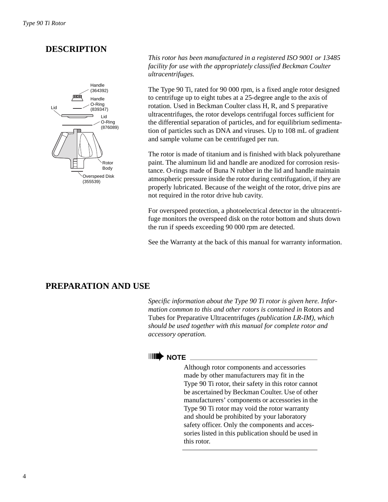## **DESCRIPTION**



*This rotor has been manufactured in a registered ISO 9001 or 13485 facility for use with the appropriately classified Beckman Coulter ultracentrifuges.*

The Type 90 Ti, rated for 90 000 rpm, is a fixed angle rotor designed to centrifuge up to eight tubes at a 25-degree angle to the axis of rotation. Used in Beckman Coulter class H, R, and S preparative ultracentrifuges, the rotor develops centrifugal forces sufficient for the differential separation of particles, and for equilibrium sedimentation of particles such as DNA and viruses. Up to 108 mL of gradient and sample volume can be centrifuged per run.

The rotor is made of titanium and is finished with black polyurethane paint. The aluminum lid and handle are anodized for corrosion resistance. O-rings made of Buna N rubber in the lid and handle maintain atmospheric pressure inside the rotor during centrifugation, if they are properly lubricated. Because of the weight of the rotor, drive pins are not required in the rotor drive hub cavity.

For overspeed protection, a photoelectrical detector in the ultracentrifuge monitors the overspeed disk on the rotor bottom and shuts down the run if speeds exceeding 90 000 rpm are detected.

See the Warranty at the back of this manual for warranty information.

## **PREPARATION AND USE**

*Specific information about the Type 90 Ti rotor is given here. Information common to this and other rotors is contained in* Rotors and Tubes for Preparative Ultracentrifuges *(publication LR-IM), which should be used together with this manual for complete rotor and accessory operation.*

## ➠**NOTE**

Although rotor components and accessories made by other manufacturers may fit in the Type 90 Ti rotor, their safety in this rotor cannot be ascertained by Beckman Coulter. Use of other manufacturers' components or accessories in the Type 90 Ti rotor may void the rotor warranty and should be prohibited by your laboratory safety officer. Only the components and accessories listed in this publication should be used in this rotor.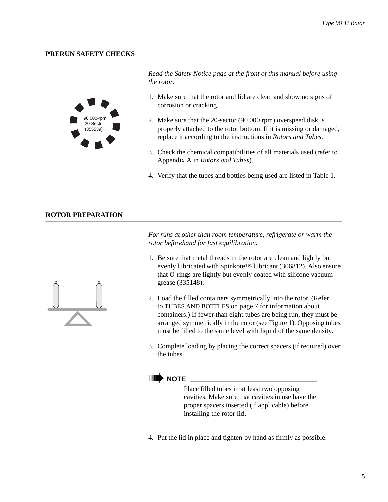## **PRERUN SAFETY CHECKS**



*Read the Safety Notice page at the front of this manual before using the rotor.*

- 1. Make sure that the rotor and lid are clean and show no signs of corrosion or cracking.
- 2. Make sure that the 20-sector (90 000 rpm) overspeed disk is properly attached to the rotor bottom. If it is missing or damaged, replace it according to the instructions in *Rotors and Tubes*.
- 3. Check the chemical compatibilities of all materials used (refer to Appendix A in *Rotors and Tubes*).
- 4. Verify that the tubes and bottles being used are listed in Table 1.

### **ROTOR PREPARATION**

*For runs at other than room temperature, refrigerate or warm the rotor beforehand for fast equilibration.*

- 1. Be sure that metal threads in the rotor are clean and lightly but evenly lubricated with Spinkote™ lubricant (306812). Also ensure that O-rings are lightly but evenly coated with silicone vacuum grease (335148).
- 2. Load the filled containers symmetrically into the rotor. (Refer to TUBES AND BOTTLES on [page 7](#page-6-0) for information about containers.) If fewer than eight tubes are being run, they must be arranged symmetrically in the rotor (see Figure 1). Opposing tubes must be filled to the same level with liquid of the same density.
- 3. Complete loading by placing the correct spacers (if required) over the tubes.

## ➠**NOTE**

Place filled tubes in at least two opposing cavities. Make sure that cavities in use have the proper spacers inserted (if applicable) before installing the rotor lid.

4. Put the lid in place and tighten by hand as firmly as possible.

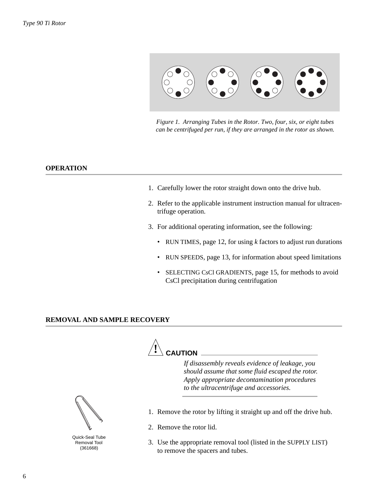

*Figure 1. Arranging Tubes in the Rotor. Two, four, six, or eight tubes can be centrifuged per run, if they are arranged in the rotor as shown.*

### **OPERATION**

- 1. Carefully lower the rotor straight down onto the drive hub.
- 2. Refer to the applicable instrument instruction manual for ultracentrifuge operation.
- 3. For additional operating information, see the following:
	- RUN TIMES, page 12, for using *k* factors to adjust run durations
	- RUN SPEEDS, [page 13,](#page-12-0) for information about speed limitations
	- SELECTING CsCl GRADIENTS, [page 15](#page-14-0), for methods to avoid CsCl precipitation during centrifugation

#### **REMOVAL AND SAMPLE RECOVERY**



*If disassembly reveals evidence of leakage, you should assume that some fluid escaped the rotor. Apply appropriate decontamination procedures to the ultracentrifuge and accessories.*

- 1. Remove the rotor by lifting it straight up and off the drive hub.
- 2. Remove the rotor lid.
- 3. Use the appropriate removal tool (listed in the SUPPLY LIST) to remove the spacers and tubes.



Quick-Seal Tube Removal Tool (361668)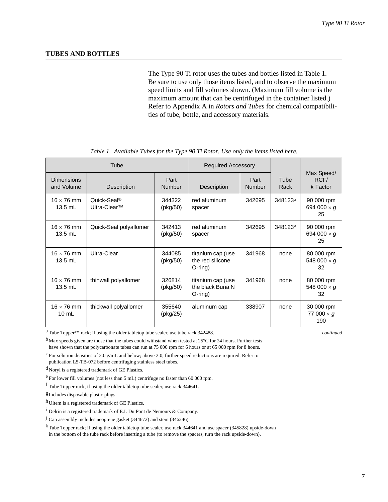### <span id="page-6-0"></span>**TUBES AND BOTTLES**

The Type 90 Ti rotor uses the tubes and bottles listed in Table 1. Be sure to use only those items listed, and to observe the maximum speed limits and fill volumes shown. (Maximum fill volume is the maximum amount that can be centrifuged in the container listed.) Refer to Appendix A in *Rotors and Tubes* for chemical compatibilities of tube, bottle, and accessory materials.

|                                      | Tube                                                |                       | <b>Required Accessory</b>                           |                       |              |                                        |
|--------------------------------------|-----------------------------------------------------|-----------------------|-----------------------------------------------------|-----------------------|--------------|----------------------------------------|
| <b>Dimensions</b><br>and Volume      | Description                                         | Part<br><b>Number</b> | Description                                         | Part<br><b>Number</b> | Tube<br>Rack | Max Speed/<br>RCF/<br>$k$ Factor       |
| $16 \times 76$ mm<br>$13.5$ mL       | Quick-Seal <sup>®</sup><br>Ultra-Clear <sup>™</sup> | 344322<br>(pkg/50)    | red aluminum<br>spacer                              | 342695                | 348123a      | 90 000 rpm<br>694 000 $\times$ g<br>25 |
| $16 \times 76$ mm<br>$13.5$ mL       | Quick-Seal polyallomer                              | 342413<br>(pkg/50)    | red aluminum<br>spacer                              | 342695                | 348123a      | 90 000 rpm<br>694 000 $\times$ g<br>25 |
| $16 \times 76$ mm<br>$13.5$ mL       | Ultra-Clear                                         | 344085<br>(pkg/50)    | titanium cap (use<br>the red silicone<br>$O$ -ring) | 341968                | none         | 80 000 rpm<br>548 000 $\times$ g<br>32 |
| $16 \times 76$ mm<br>$13.5$ mL       | thinwall polyallomer                                | 326814<br>(pkg/50)    | titanium cap (use<br>the black Buna N<br>$O$ -ring) | 341968                | none         | 80 000 rpm<br>548 000 $\times$ g<br>32 |
| $16 \times 76$ mm<br>$10 \text{ mL}$ | thickwall polyallomer                               | 355640<br>(pkg/25)    | aluminum cap                                        | 338907                | none         | 30 000 rpm<br>77 000 $\times$ g<br>190 |

*Table 1. Available Tubes for the Type 90 Ti Rotor. Use only the items listed here.*

a Tube Topper™ rack; if using the older tabletop tube sealer, use tube rack 342488. — *continued*

 $<sup>b</sup>$ Max speeds given are those that the tubes could withstand when tested at 25 $<sup>°</sup>C$  for 24 hours. Further tests</sup></sup> have shown that the polycarbonate tubes can run at 75 000 rpm for 6 hours or at 65 000 rpm for 8 hours.

 $c$  For solution densities of 2.0 g/mL and below; above 2.0, further speed reductions are required. Refer to publication L5-TB-072 before centrifuging stainless steel tubes.

 $d$  Noryl is a registered trademark of GE Plastics.

 $e^{\frac{1}{2}}$  For lower fill volumes (not less than 5 mL) centrifuge no faster than 60 000 rpm.

f Tube Topper rack, if using the older tabletop tube sealer, use rack 344641.

g Includes disposable plastic plugs.

h Ultem is a registered trademark of GE Plastics.

i Delrin is a registered trademark of E.I. Du Pont de Nemours & Company.

 $\dot{J}$  Cap assembly includes neoprene gasket (344672) and stem (346246).

kTube Topper rack; if using the older tabletop tube sealer, use rack 344641 and use spacer (345828) upside-down in the bottom of the tube rack before inserting a tube (to remove the spacers, turn the rack upside-down).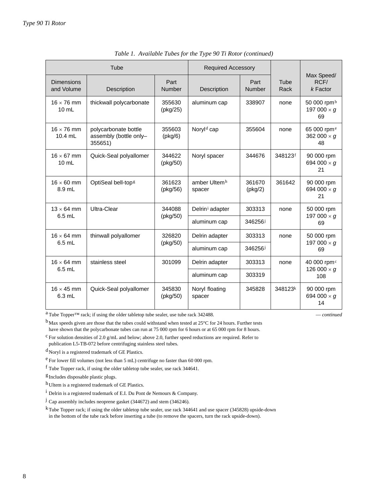| Tube                                 |                                                           |                            |                             | <b>Required Accessory</b>  |              |                                                     |  |
|--------------------------------------|-----------------------------------------------------------|----------------------------|-----------------------------|----------------------------|--------------|-----------------------------------------------------|--|
| <b>Dimensions</b><br>and Volume      | Description                                               | Part<br>Number             | Description                 | Part<br>Number             | Tube<br>Rack | Max Speed/<br>RCF/<br>$k$ Factor                    |  |
| $16 \times 76$ mm<br>$10 \text{ mL}$ | thickwall polycarbonate                                   | 355630<br>(pkg/25)         | aluminum cap                | 338907                     | none         | 50 000 rpm <sup>b</sup><br>197 000 $\times$ g<br>69 |  |
| $16 \times 76$ mm<br>$10.4$ mL       | polycarbonate bottle<br>assembly (bottle only-<br>355651) | 355603<br>$(\text{pkg}/6)$ | Noryl <sup>d</sup> cap      | 355604                     | none         | 65 000 rpm <sup>e</sup><br>362 000 $\times$ g<br>48 |  |
| $16 \times 67$ mm<br>$10 \text{ mL}$ | Quick-Seal polyallomer                                    | 344622<br>(pkg/50)         | Noryl spacer                | 344676                     | 348123f      | 90 000 rpm<br>694 000 $\times$ g<br>21              |  |
| $16 \times 60$ mm<br>8.9 mL          | OptiSeal bell-top <sup>g</sup>                            | 361623<br>(pkg/56)         | amber Ultemh<br>spacer      | 361670<br>$(\text{pkg}/2)$ | 361642       | 90 000 rpm<br>694 000 $\times$ g<br>21              |  |
| $13 \times 64$ mm<br>$6.5$ mL        | Ultra-Clear                                               | 344088                     | Delrin <sup>i</sup> adapter | 303313                     | none         | 50 000 rpm                                          |  |
|                                      |                                                           | (pkg/50)                   | aluminum cap                | 346256j                    |              | 197 000 $\times$ g<br>69                            |  |
| $16 \times 64$ mm                    | thinwall polyallomer                                      | 326820                     | Delrin adapter              | 303313                     | none         | 50 000 rpm                                          |  |
| $6.5$ mL                             |                                                           | (pkg/50)                   | aluminum cap                | 346256j                    |              | 197 000 $\times$ g<br>69                            |  |
| $16 \times 64$ mm                    | stainless steel                                           | 301099<br>Delrin adapter   |                             | 303313                     | none         | 40 000 rpm <sup>c</sup>                             |  |
| $6.5$ mL                             |                                                           |                            | aluminum cap                | 303319                     |              | 126 000 $\times$ g<br>108                           |  |
| $16 \times 45$ mm<br>$6.3$ mL        | Quick-Seal polyallomer                                    | 345830<br>(pkg/50)         | Noryl floating<br>spacer    | 345828                     | 348123k      | 90 000 rpm<br>694 000 $\times$ g<br>14              |  |

| Table 1. Available Tubes for the Type 90 Ti Rotor (continued) |
|---------------------------------------------------------------|
|---------------------------------------------------------------|

a Tube Topper™ rack; if using the older tabletop tube sealer, use tube rack 342488. — *continued*

bMax speeds given are those that the tubes could withstand when tested at 25°C for 24 hours. Further tests have shown that the polycarbonate tubes can run at 75 000 rpm for 6 hours or at 65 000 rpm for 8 hours.

 $c$  For solution densities of 2.0 g/mL and below; above 2.0, further speed reductions are required. Refer to publication L5-TB-072 before centrifuging stainless steel tubes.

 $d$  Noryl is a registered trademark of GE Plastics.

e For lower fill volumes (not less than 5 mL) centrifuge no faster than 60 000 rpm.

f Tube Topper rack, if using the older tabletop tube sealer, use rack 344641.

g Includes disposable plastic plugs.

h Ultem is a registered trademark of GE Plastics.

i Delrin is a registered trademark of E.I. Du Pont de Nemours & Company.

 $\dot{J}$  Cap assembly includes neoprene gasket (344672) and stem (346246).

kTube Topper rack; if using the older tabletop tube sealer, use rack 344641 and use spacer (345828) upside-down in the bottom of the tube rack before inserting a tube (to remove the spacers, turn the rack upside-down).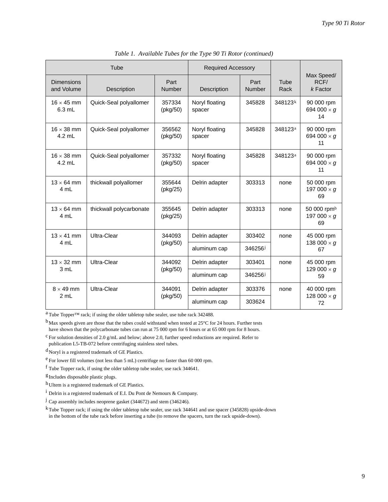|                                 | Tube                    |                          |                          | <b>Required Accessory</b> |                     |                                                     |  |
|---------------------------------|-------------------------|--------------------------|--------------------------|---------------------------|---------------------|-----------------------------------------------------|--|
| <b>Dimensions</b><br>and Volume | Description             | Part<br><b>Number</b>    | Description              | Part<br><b>Number</b>     | Tube<br>Rack        | Max Speed/<br>RCF/<br>$k$ Factor                    |  |
| $16 \times 45$ mm<br>$6.3$ mL   | Quick-Seal polyallomer  | 357334<br>(pkg/50)       | Noryl floating<br>spacer | 345828                    | 348123k             | 90 000 rpm<br>694 000 $\times$ g<br>14              |  |
| $16 \times 38$ mm<br>$4.2$ mL   | Quick-Seal polyallomer  | 356562<br>(pkg/50)       | Noryl floating<br>spacer | 345828                    | 348123 <sup>a</sup> | 90 000 rpm<br>694 000 $\times$ g<br>11              |  |
| $16 \times 38$ mm<br>$4.2$ mL   | Quick-Seal polyallomer  | 357332<br>(pkg/50)       | Noryl floating<br>spacer | 345828                    | 348123a             | 90 000 rpm<br>694 000 $\times$ g<br>11              |  |
| $13 \times 64$ mm<br>4 mL       | thickwall polyallomer   | 355644<br>(pkg/25)       | Delrin adapter           | 303313                    | none                | 50 000 rpm<br>197 000 $\times$ g<br>69              |  |
| $13 \times 64$ mm<br>4 mL       | thickwall polycarbonate | 355645<br>(pkg/25)       | Delrin adapter           | 303313                    | none                | 50 000 rpm <sup>b</sup><br>197 000 $\times$ g<br>69 |  |
| $13 \times 41$ mm<br>4 mL       | Ultra-Clear             | 344093                   | Delrin adapter           | 303402                    | none                | 45 000 rpm                                          |  |
|                                 |                         | (pkg/50)                 | aluminum cap             | 346256J                   |                     | 138 000 $\times$ g<br>67                            |  |
| $13 \times 32$ mm<br>3 mL       | Ultra-Clear             | 344092<br>Delrin adapter |                          | 303401                    | none                | 45 000 rpm                                          |  |
|                                 |                         | (pkg/50)                 | aluminum cap             | 346256j                   |                     | 129 000 $\times$ g<br>59                            |  |
| $8 \times 49$ mm<br>2 mL        | Ultra-Clear             | 344091                   | Delrin adapter           | 303376                    | none                | 40 000 rpm                                          |  |
|                                 |                         | (pkg/50)<br>aluminum cap |                          | 303624                    |                     | 128 000 $\times$ g<br>72                            |  |

*Table 1. Available Tubes for the Type 90 Ti Rotor (continued)*

a Tube Topper™ rack; if using the older tabletop tube sealer, use tube rack 342488.

bMax speeds given are those that the tubes could withstand when tested at 25°C for 24 hours. Further tests have shown that the polycarbonate tubes can run at 75 000 rpm for 6 hours or at 65 000 rpm for 8 hours.

 $c$  For solution densities of 2.0 g/mL and below; above 2.0, further speed reductions are required. Refer to publication L5-TB-072 before centrifuging stainless steel tubes.

 $d$  Noryl is a registered trademark of GE Plastics.

e For lower fill volumes (not less than 5 mL) centrifuge no faster than 60 000 rpm.

f Tube Topper rack, if using the older tabletop tube sealer, use rack 344641.

g Includes disposable plastic plugs.

h Ultem is a registered trademark of GE Plastics.

i Delrin is a registered trademark of E.I. Du Pont de Nemours & Company.

j Cap assembly includes neoprene gasket (344672) and stem (346246).

kTube Topper rack; if using the older tabletop tube sealer, use rack 344641 and use spacer (345828) upside-down in the bottom of the tube rack before inserting a tube (to remove the spacers, turn the rack upside-down).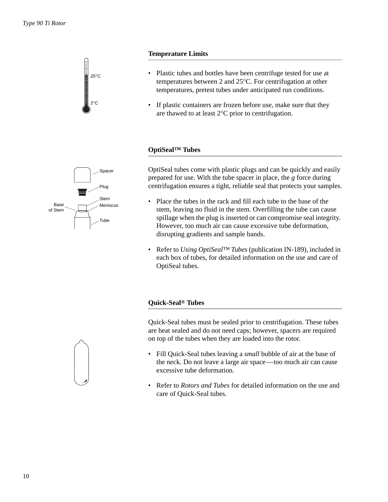

## **Temperature Limits**

- Plastic tubes and bottles have been centrifuge tested for use at temperatures between 2 and 25°C. For centrifugation at other temperatures, pretest tubes under anticipated run conditions.
- If plastic containers are frozen before use, make sure that they are thawed to at least 2°C prior to centrifugation.

## **OptiSeal™ Tubes**



OptiSeal tubes come with plastic plugs and can be quickly and easily prepared for use. With the tube spacer in place, the *g* force during centrifugation ensures a tight, reliable seal that protects your samples.

- Place the tubes in the rack and fill each tube to the base of the stem, leaving no fluid in the stem. Overfilling the tube can cause spillage when the plug is inserted or can compromise seal integrity. However, too much air can cause excessive tube deformation, disrupting gradients and sample bands.
- Refer to *Using OptiSeal™ Tubes* (publication IN-189), included in each box of tubes, for detailed information on the use and care of OptiSeal tubes.

## **Quick-Seal® Tubes**

Quick-Seal tubes must be sealed prior to centrifugation. These tubes are heat sealed and do not need caps; however, spacers are required on top of the tubes when they are loaded into the rotor.



- Fill Quick-Seal tubes leaving a *small* bubble of air at the base of the neck. Do not leave a large air space—too much air can cause excessive tube deformation.
- Refer to *Rotors and Tubes* for detailed information on the use and care of Quick-Seal tubes.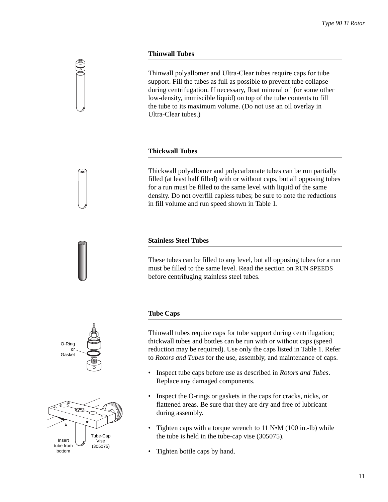## **Thinwall Tubes**

Thinwall polyallomer and Ultra-Clear tubes require caps for tube support. Fill the tubes as full as possible to prevent tube collapse during centrifugation. If necessary, float mineral oil (or some other low-density, immiscible liquid) on top of the tube contents to fill the tube to its maximum volume. (Do not use an oil overlay in Ultra-Clear tubes.)

## **Thickwall Tubes**

Thickwall polyallomer and polycarbonate tubes can be run partially filled (at least half filled) with or without caps, but all opposing tubes for a run must be filled to the same level with liquid of the same density. Do not overfill capless tubes; be sure to note the reductions in fill volume and run speed shown in Table 1.

## **Stainless Steel Tubes**

These tubes can be filled to any level, but all opposing tubes for a run must be filled to the same level. Read the section on RUN SPEEDS before centrifuging stainless steel tubes.

# **Tube Caps**

O-Ring or Gasket

Insert tube from bottom

Tube-Cap Vise (305075)

Thinwall tubes require caps for tube support during centrifugation; thickwall tubes and bottles can be run with or without caps (speed reduction may be required). Use only the caps listed in Table 1. Refer to *Rotors and Tubes* for the use, assembly, and maintenance of caps.

- Inspect tube caps before use as described in *Rotors and Tubes*. Replace any damaged components.
- Inspect the O-rings or gaskets in the caps for cracks, nicks, or flattened areas. Be sure that they are dry and free of lubricant during assembly.
- Tighten caps with a torque wrench to 11 N•M (100 in.-lb) while the tube is held in the tube-cap vise (305075).
- Tighten bottle caps by hand.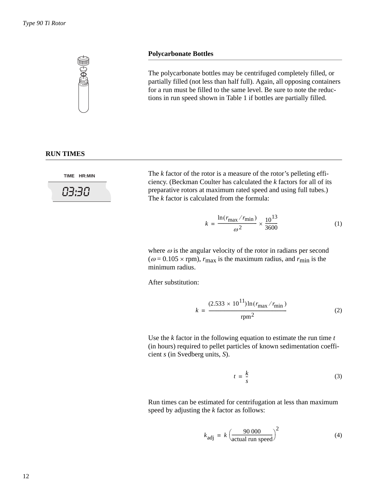

### **Polycarbonate Bottles**

The polycarbonate bottles may be centrifuged completely filled, or partially filled (not less than half full). Again, all opposing containers for a run must be filled to the same level. Be sure to note the reductions in run speed shown in Table 1 if bottles are partially filled.

## **RUN TIMES**

**TIME HR:MIN**



The *k* factor of the rotor is a measure of the rotor's pelleting efficiency. (Beckman Coulter has calculated the *k* factors for all of its preparative rotors at maximum rated speed and using full tubes.) The *k* factor is calculated from the formula:

$$
k = \frac{\ln(r_{\text{max}}/r_{\text{min}})}{\omega^2} \times \frac{10^{13}}{3600}
$$
 (1)

where  $\omega$  is the angular velocity of the rotor in radians per second  $(\omega = 0.105 \times \text{rpm})$ ,  $r_{\text{max}}$  is the maximum radius, and  $r_{\text{min}}$  is the minimum radius.

After substitution:

$$
k = \frac{(2.533 \times 10^{11}) \ln(r_{\text{max}}/r_{\text{min}})}{\text{rpm}^2}
$$
 (2)

Use the *k* factor in the following equation to estimate the run time *t* (in hours) required to pellet particles of known sedimentation coefficient *s* (in Svedberg units, *S*).

$$
t = \frac{k}{s} \tag{3}
$$

Run times can be estimated for centrifugation at less than maximum speed by adjusting the *k* factor as follows:

$$
k_{\text{adj}} = k \left( \frac{90\,000}{\text{actual run speed}} \right)^2 \tag{4}
$$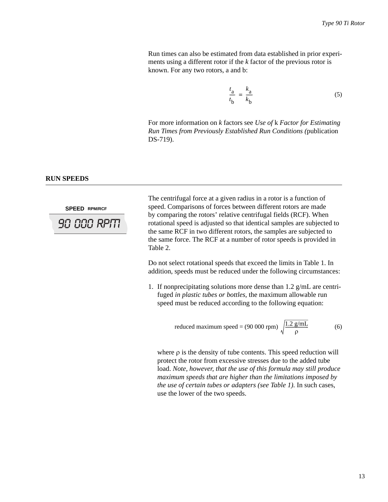Run times can also be estimated from data established in prior experiments using a different rotor if the *k* factor of the previous rotor is known. For any two rotors, a and b:

$$
\frac{t_a}{t_b} = \frac{k_a}{k_b} \tag{5}
$$

For more information on *k* factors see *Use of* k *Factor for Estimating Run Times from Previously Established Run Conditions (*publication DS-719).

## <span id="page-12-0"></span>**RUN SPEEDS**

**SPEED RPM/RCF 90 000 RPIT** 

The centrifugal force at a given radius in a rotor is a function of speed. Comparisons of forces between different rotors are made by comparing the rotors' relative centrifugal fields (RCF). When rotational speed is adjusted so that identical samples are subjected to the same RCF in two different rotors, the samples are subjected to the same force. The RCF at a number of rotor speeds is provided in Table 2.

Do not select rotational speeds that exceed the limits in Table 1. In addition, speeds must be reduced under the following circumstances:

1. If nonprecipitating solutions more dense than 1.2 g/mL are centrifuged *in plastic tubes or bottles*, the maximum allowable run speed must be reduced according to the following equation:

reduced maximum speed = (90 000 rpm) 
$$
\sqrt{\frac{1.2 \text{ g/mL}}{\rho}}
$$
 (6)

where  $\rho$  is the density of tube contents. This speed reduction will protect the rotor from excessive stresses due to the added tube load. *Note, however, that the use of this formula may still produce maximum speeds that are higher than the limitations imposed by the use of certain tubes or adapters (see Table 1).* In such cases, use the lower of the two speeds.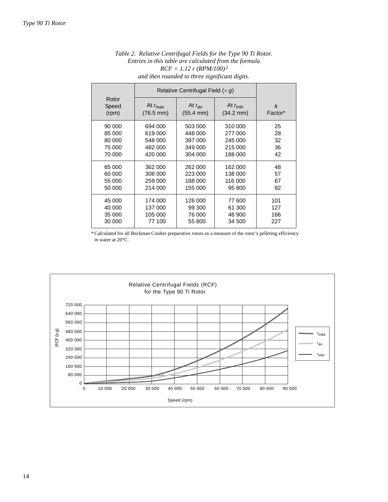|                         |                                            | <i>non</i> romanca to me ce <i>significant</i> anguist |                                            |              |  |
|-------------------------|--------------------------------------------|--------------------------------------------------------|--------------------------------------------|--------------|--|
|                         |                                            | Relative Centrifugal Field $(x, q)$                    |                                            |              |  |
| Rotor<br>Speed<br>(rpm) | At $r_{\text{max}}$<br>$(76.5 \text{ mm})$ | At $r_{\rm av}$<br>$(55.4 \, \text{mm})$               | At $r_{\text{min}}$<br>$(34.2 \text{ mm})$ | k<br>Factor* |  |
| 90 000                  | 694 000                                    | 503 000                                                | 310 000                                    | 25           |  |
| 85 000                  | 619 000                                    | 448 000                                                | 277 000                                    | 28           |  |
| 80 000                  | 548 000                                    | 397 000                                                | 245 000                                    | 32           |  |
| 75 000                  | 482 000                                    | 349 000                                                | 215 000                                    | 36           |  |
| 70 000                  | 420 000                                    | 304 000                                                | 188 000                                    | 42           |  |
| 65 000                  | 362 000                                    | 262 000                                                | 162 000                                    | 48           |  |
| 60 000                  | 308 000                                    | 223 000                                                | 138 000                                    | 57           |  |
| 55 000                  | 259 000                                    | 188 000                                                | 116 000                                    | 67           |  |
| 50 000                  | 214 000                                    | 155 000                                                | 95 800                                     | 82           |  |
| 45 000                  | 174 000                                    | 126 000                                                | 77 600                                     | 101          |  |
| 40 000                  | 137 000                                    | 99 300                                                 | 61 300                                     | 127          |  |
| 35 000                  | 105 000                                    | 76 000                                                 | 46 900                                     | 166          |  |
| 30 000                  | 77 100                                     | 55 800                                                 | 34 500                                     | 227          |  |

*Table 2. Relative Centrifugal Fields for the Type 90 Ti Rotor. Entries in this table are calculated from the formula RCF = 1.12 r (RPM/100)2 and then rounded to three significant digits.*

\* Calculated for all Beckman Coulter preparative rotors as a measure of the rotor's pelleting efficiency in water at 20°C.

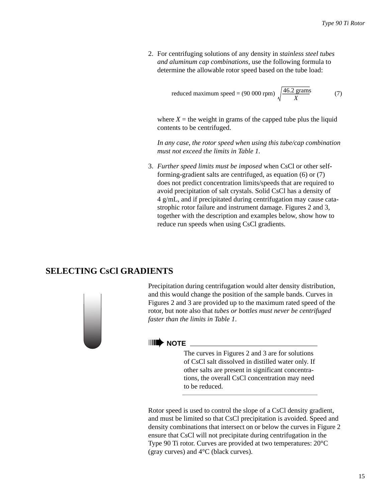2. For centrifuging solutions of any density in *stainless steel tubes and aluminum cap combinations*, use the following formula to determine the allowable rotor speed based on the tube load:

reduced maximum speed = (90 000 rpm) 
$$
\sqrt{\frac{46.2 \text{ grams}}{X}}
$$
 (7)

where  $X =$  the weight in grams of the capped tube plus the liquid contents to be centrifuged.

*In any case, the rotor speed when using this tube/cap combination must not exceed the limits in Table 1.*

3. *Further speed limits must be imposed* when CsCl or other selfforming-gradient salts are centrifuged, as equation (6) or (7) does not predict concentration limits/speeds that are required to avoid precipitation of salt crystals. Solid CsCl has a density of 4 g/mL, and if precipitated during centrifugation may cause catastrophic rotor failure and instrument damage. Figures 2 and 3, together with the description and examples below, show how to reduce run speeds when using CsCl gradients.

## <span id="page-14-0"></span>**SELECTING CsCl GRADIENTS**



Precipitation during centrifugation would alter density distribution, and this would change the position of the sample bands. Curves in Figures 2 and 3 are provided up to the maximum rated speed of the rotor, but note also that *tubes or bottles must never be centrifuged faster than the limits in Table 1*.

## ➠**NOTE**

The curves in Figures 2 and 3 are for solutions of CsCl salt dissolved in distilled water only. If other salts are present in significant concentrations, the overall CsCl concentration may need to be reduced.

Rotor speed is used to control the slope of a CsCl density gradient, and must be limited so that CsCl precipitation is avoided. Speed and density combinations that intersect on or below the curves in Figure 2 ensure that CsCl will not precipitate during centrifugation in the Type 90 Ti rotor. Curves are provided at two temperatures: 20°C (gray curves) and 4°C (black curves).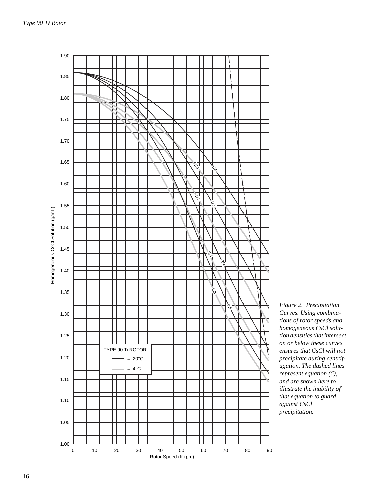

*Figure 2. Precipitation Curves. Using combinations of rotor speeds and homogeneous CsCl solution densities that intersect on or below these curves ensures that CsCl will not precipitate during centrifugation. The dashed lines represent equation (6), and are shown here to illustrate the inability of that equation to guard against CsCl precipitation.*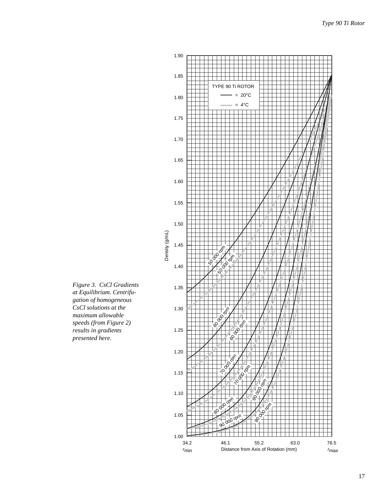

*Figure 3. CsCl Gradients at Equilibrium. Centrifugation of homogeneous CsCl solutions at the maximum allowable speeds (from Figure 2) results in gradients presented here.*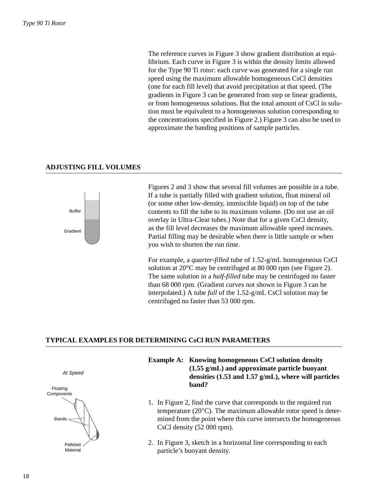The reference curves in Figure 3 show gradient distribution at equilibrium. Each curve in Figure 3 is within the density limits allowed for the Type 90 Ti rotor: each curve was generated for a single run speed using the maximum allowable homogeneous CsCl densities (one for each fill level) that avoid precipitation at that speed. (The gradients in Figure 3 can be generated from step or linear gradients, or from homogeneous solutions. But the total amount of CsCl in solution must be equivalent to a homogeneous solution corresponding to the concentrations specified in Figure 2.) Figure 3 can also be used to approximate the banding positions of sample particles.

## **ADJUSTING FILL VOLUMES**



Figures 2 and 3 show that several fill volumes are possible in a tube. If a tube is partially filled with gradient solution, float mineral oil (or some other low-density, immiscible liquid) on top of the tube contents to fill the tube to its maximum volume. (Do not use an oil overlay in Ultra-Clear tubes.) Note that for a given CsCl density, as the fill level decreases the maximum allowable speed increases. Partial filling may be desirable when there is little sample or when you wish to shorten the run time.

For example, a *quarter-filled* tube of 1.52-g/mL homogeneous CsCl solution at 20°C may be centrifuged at 80 000 rpm (see Figure 2). The same solution in a *half-filled* tube may be centrifuged no faster than 68 000 rpm. (Gradient curves not shown in Figure 3 can be interpolated.) A tube *full* of the 1.52-g/mL CsCl solution may be centrifuged no faster than 53 000 rpm.

### **TYPICAL EXAMPLES FOR DETERMINING CsCl RUN PARAMETERS**



*At Speed*

- **Example A: Knowing homogeneous CsCl solution density (1.55 g/mL) and approximate particle buoyant densities (1.53 and 1.57 g/mL), where will particles band?**
- 1. In Figure 2, find the curve that corresponds to the required run temperature (20°C). The maximum allowable rotor speed is determined from the point where this curve intersects the homogeneous CsCl density (52 000 rpm).
- 2. In Figure 3, sketch in a horizontal line corresponding to each particle's buoyant density.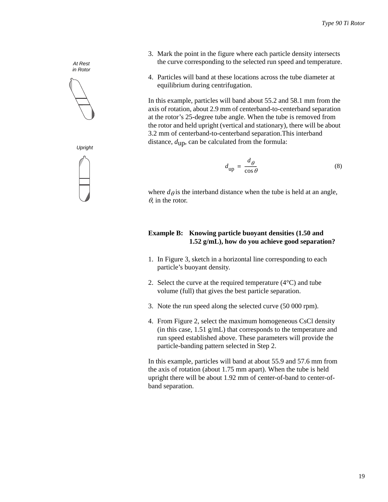



*Upright*



- 3. Mark the point in the figure where each particle density intersects the curve corresponding to the selected run speed and temperature.
- 4. Particles will band at these locations across the tube diameter at equilibrium during centrifugation.

In this example, particles will band about 55.2 and 58.1 mm from the axis of rotation, about 2.9 mm of centerband-to-centerband separation at the rotor's 25-degree tube angle. When the tube is removed from the rotor and held upright (vertical and stationary), there will be about 3.2 mm of centerband-to-centerband separation.This interband distance, *d*up, can be calculated from the formula:

$$
d_{\text{up}} = \frac{d_{\theta}}{\cos \theta} \tag{8}
$$

where  $d\theta$  is the interband distance when the tube is held at an angle,  $\theta$ , in the rotor.

## **Example B: Knowing particle buoyant densities (1.50 and 1.52 g/mL), how do you achieve good separation?**

- 1. In Figure 3, sketch in a horizontal line corresponding to each particle's buoyant density.
- 2. Select the curve at the required temperature  $(4^{\circ}C)$  and tube volume (full) that gives the best particle separation.
- 3. Note the run speed along the selected curve (50 000 rpm).
- 4. From Figure 2, select the maximum homogeneous CsCl density (in this case, 1.51 g/mL) that corresponds to the temperature and run speed established above. These parameters will provide the particle-banding pattern selected in Step 2.

In this example, particles will band at about 55.9 and 57.6 mm from the axis of rotation (about 1.75 mm apart). When the tube is held upright there will be about 1.92 mm of center-of-band to center-ofband separation.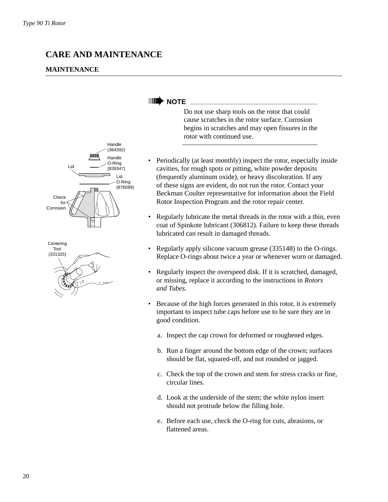## **CARE AND MAINTENANCE**

## **MAINTENANCE**





## **IIII** NOTE \_

Do not use sharp tools on the rotor that could cause scratches in the rotor surface. Corrosion begins in scratches and may open fissures in the rotor with continued use.

- Periodically (at least monthly) inspect the rotor, especially inside cavities, for rough spots or pitting, white powder deposits (frequently aluminum oxide), or heavy discoloration. If any of these signs are evident, do not run the rotor. Contact your Beckman Coulter representative for information about the Field Rotor Inspection Program and the rotor repair center.
- Regularly lubricate the metal threads in the rotor with a thin, even coat of Spinkote lubricant (306812). Failure to keep these threads lubricated can result in damaged threads.
- Regularly apply silicone vacuum grease (335148) to the O-rings. Replace O-rings about twice a year or whenever worn or damaged.
- Regularly inspect the overspeed disk. If it is scratched, damaged, or missing, replace it according to the instructions in *Rotors and Tubes*.
- Because of the high forces generated in this rotor, it is extremely important to inspect tube caps before use to be sure they are in good condition.
	- a. Inspect the cap crown for deformed or roughened edges.
	- b. Run a finger around the bottom edge of the crown; surfaces should be flat, squared-off, and not rounded or jagged.
	- c. Check the top of the crown and stem for stress cracks or fine, circular lines.
	- d. Look at the underside of the stem; the white nylon insert should not protrude below the filling hole.
	- e. Before each use, check the O-ring for cuts, abrasions, or flattened areas.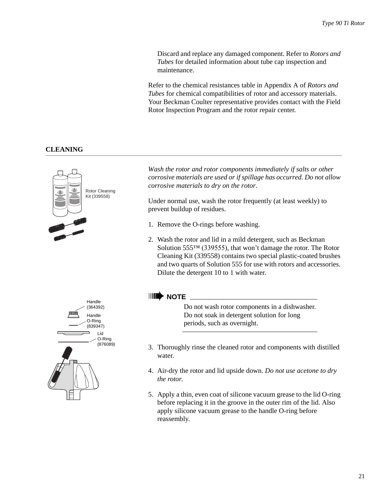Discard and replace any damaged component. Refer to *Rotors and Tubes* for detailed information about tube cap inspection and maintenance.

Refer to the chemical resistances table in Appendix A of *Rotors and Tubes* for chemical compatibilities of rotor and accessory materials. Your Beckman Coulter representative provides contact with the Field Rotor Inspection Program and the rotor repair center.

## **CLEANING**



*Wash the rotor and rotor components immediately if salts or other corrosive materials are used or if spillage has occurred. Do not allow corrosive materials to dry on the rotor.* 

Under normal use, wash the rotor frequently (at least weekly) to prevent buildup of residues.

- 1. Remove the O-rings before washing.
- 2. Wash the rotor and lid in a mild detergent, such as Beckman Solution 555™ (339555), that won't damage the rotor. The Rotor Cleaning Kit (339558) contains two special plastic-coated brushes and two quarts of Solution 555 for use with rotors and accessories. Dilute the detergent 10 to 1 with water.

## ➠**NOTE**

Do not wash rotor components in a dishwasher. Do not soak in detergent solution for long periods, such as overnight.

- 3. Thoroughly rinse the cleaned rotor and components with distilled water.
- 4. Air-dry the rotor and lid upside down. *Do not use acetone to dry the rotor*.
- 5. Apply a thin, even coat of silicone vacuum grease to the lid O-ring before replacing it in the groove in the outer rim of the lid. Also apply silicone vacuum grease to the handle O-ring before reassembly.

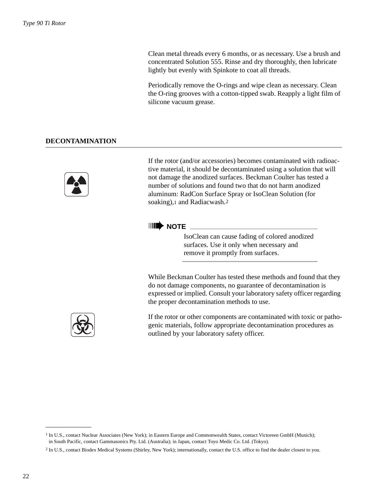Clean metal threads every 6 months, or as necessary. Use a brush and concentrated Solution 555. Rinse and dry thoroughly, then lubricate lightly but evenly with Spinkote to coat all threads.

Periodically remove the O-rings and wipe clean as necessary. Clean the O-ring grooves with a cotton-tipped swab. Reapply a light film of silicone vacuum grease.

## **DECONTAMINATION**



If the rotor (and/or accessories) becomes contaminated with radioactive material, it should be decontaminated using a solution that will not damage the anodized surfaces. Beckman Coulter has tested a number of solutions and found two that do not harm anodized aluminum: RadCon Surface Spray or IsoClean Solution (for soaking),1 and Radiacwash.2

## ➠**NOTE**

IsoClean can cause fading of colored anodized surfaces. Use it only when necessary and remove it promptly from surfaces.

While Beckman Coulter has tested these methods and found that they do not damage components, no guarantee of decontamination is expressed or implied. Consult your laboratory safety officer regarding the proper decontamination methods to use.



If the rotor or other components are contaminated with toxic or pathogenic materials, follow appropriate decontamination procedures as outlined by your laboratory safety officer.

<sup>&</sup>lt;sup>1</sup> In U.S., contact Nuclear Associates (New York); in Eastern Europe and Commonwealth States, contact Victoreen GmbH (Munich); in South Pacific, contact Gammasonics Pty. Ltd. (Australia); in Japan, contact Toyo Medic Co. Ltd. (Tokyo).

<sup>2</sup> In U.S., contact Biodex Medical Systems (Shirley, New York); internationally, contact the U.S. office to find the dealer closest to you.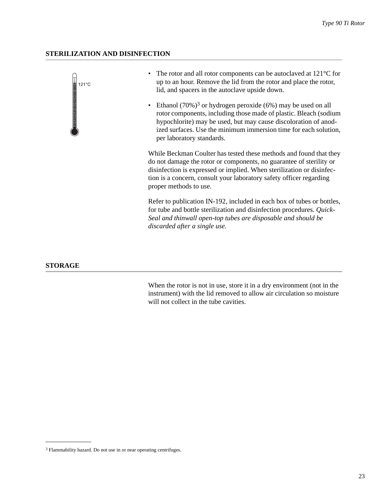## **STERILIZATION AND DISINFECTION**

 $121^{\circ}$ C

- The rotor and all rotor components can be autoclaved at 121°C for up to an hour. Remove the lid from the rotor and place the rotor, lid, and spacers in the autoclave upside down.
- Ethanol  $(70\%)$ <sup>3</sup> or hydrogen peroxide  $(6\%)$  may be used on all rotor components, including those made of plastic. Bleach (sodium hypochlorite) may be used, but may cause discoloration of anodized surfaces. Use the minimum immersion time for each solution, per laboratory standards.

While Beckman Coulter has tested these methods and found that they do not damage the rotor or components, no guarantee of sterility or disinfection is expressed or implied. When sterilization or disinfection is a concern, consult your laboratory safety officer regarding proper methods to use.

Refer to publication IN-192, included in each box of tubes or bottles, for tube and bottle sterilization and disinfection procedures. *Quick-Seal and thinwall open-top tubes are disposable and should be discarded after a single use.*

## **STORAGE**

When the rotor is not in use, store it in a dry environment (not in the instrument) with the lid removed to allow air circulation so moisture will not collect in the tube cavities.

<sup>3</sup> Flammability hazard. Do not use in or near operating centrifuges.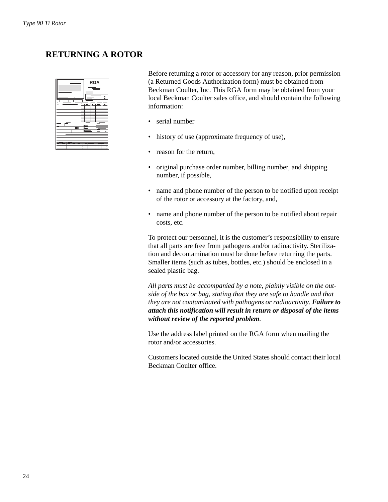# **RETURNING A ROTOR**

| E |                                     |  | <b>RGA</b> | ╾      | 8 |  |
|---|-------------------------------------|--|------------|--------|---|--|
| ۳ | o,<br>ö.<br>ö-<br>ō<br>ō.<br>ï<br>ï |  |            | ī<br>ï |   |  |

Before returning a rotor or accessory for any reason, prior permission (a Returned Goods Authorization form) must be obtained from Beckman Coulter, Inc. This RGA form may be obtained from your local Beckman Coulter sales office, and should contain the following information:

- serial number
- history of use (approximate frequency of use),
- reason for the return,
- original purchase order number, billing number, and shipping number, if possible,
- name and phone number of the person to be notified upon receipt of the rotor or accessory at the factory, and,
- name and phone number of the person to be notified about repair costs, etc.

To protect our personnel, it is the customer's responsibility to ensure that all parts are free from pathogens and/or radioactivity. Sterilization and decontamination must be done before returning the parts. Smaller items (such as tubes, bottles, etc.) should be enclosed in a sealed plastic bag.

*All parts must be accompanied by a note, plainly visible on the outside of the box or bag, stating that they are safe to handle and that they are not contaminated with pathogens or radioactivity. Failure to attach this notification will result in return or disposal of the items without review of the reported problem.*

Use the address label printed on the RGA form when mailing the rotor and/or accessories.

Customers located outside the United States should contact their local Beckman Coulter office.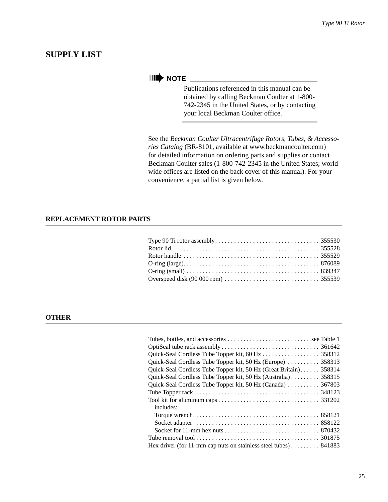## **SUPPLY LIST**

# ➠**NOTE**

Publications referenced in this manual can be obtained by calling Beckman Coulter at 1-800- 742-2345 in the United States, or by contacting your local Beckman Coulter office.

See the *Beckman Coulter Ultracentrifuge Rotors, Tubes, & Accessories Catalog* (BR-8101, available at www.beckmancoulter.com) for detailed information on ordering parts and supplies or contact Beckman Coulter sales (1-800-742-2345 in the United States; worldwide offices are listed on the back cover of this manual). For your convenience, a partial list is given below.

## **REPLACEMENT ROTOR PARTS**

## **OTHER**

| Quick-Seal Cordless Tube Topper kit, 50 Hz (Europe)  358313       |  |
|-------------------------------------------------------------------|--|
| Quick-Seal Cordless Tube Topper kit, 50 Hz (Great Britain) 358314 |  |
| Quick-Seal Cordless Tube Topper kit, 50 Hz (Australia) 358315     |  |
| Quick-Seal Cordless Tube Topper kit, 50 Hz (Canada)  367803       |  |
|                                                                   |  |
|                                                                   |  |
| includes:                                                         |  |
|                                                                   |  |
|                                                                   |  |
|                                                                   |  |
|                                                                   |  |
| Hex driver (for 11-mm cap nuts on stainless steel tubes) 841883   |  |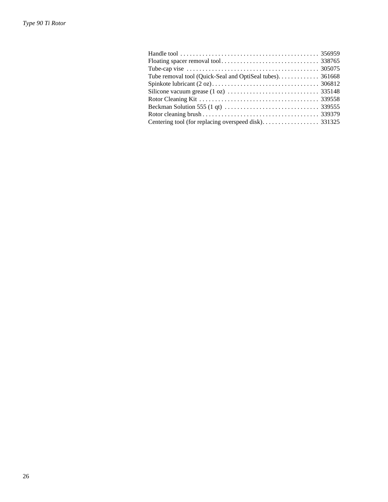| Tube removal tool (Quick-Seal and OptiSeal tubes). 361668                                        |  |
|--------------------------------------------------------------------------------------------------|--|
|                                                                                                  |  |
|                                                                                                  |  |
|                                                                                                  |  |
| Beckman Solution 555 (1 qt) $\dots \dots \dots \dots \dots \dots \dots \dots \dots \dots$ 339555 |  |
|                                                                                                  |  |
|                                                                                                  |  |
|                                                                                                  |  |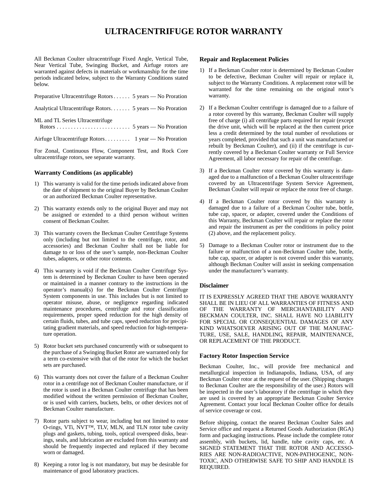## **ULTRACENTRIFUGE ROTOR WARRANTY**

All Beckman Coulter ultracentrifuge Fixed Angle, Vertical Tube, Near Vertical Tube, Swinging Bucket, and Airfuge rotors are warranted against defects in materials or workmanship for the time periods indicated below, subject to the Warranty Conditions stated below.

| Preparative Ultracentrifuge Rotors 5 years — No Proration |
|-----------------------------------------------------------|
| Analytical Ultracentrifuge Rotors 5 years — No Proration  |
| ML and TL Series Ultracentrifuge                          |
|                                                           |
| For Zonal Continuous Flow Component Test and Posk Core    |

For Zonal, Continuous Flow, Component Test, and Rock Core ultracentrifuge rotors, see separate warranty.

#### **Warranty Conditions (as applicable)**

- 1) This warranty is valid for the time periods indicated above from the date of shipment to the original Buyer by Beckman Coulter or an authorized Beckman Coulter representative.
- 2) This warranty extends only to the original Buyer and may not be assigned or extended to a third person without written consent of Beckman Coulter.
- 3) This warranty covers the Beckman Coulter Centrifuge Systems only (including but not limited to the centrifuge, rotor, and accessories) and Beckman Coulter shall not be liable for damage to or loss of the user's sample, non-Beckman Coulter tubes, adapters, or other rotor contents.
- 4) This warranty is void if the Beckman Coulter Centrifuge System is determined by Beckman Coulter to have been operated or maintained in a manner contrary to the instructions in the operator's manual(s) for the Beckman Coulter Centrifuge System components in use. This includes but is not limited to operator misuse, abuse, or negligence regarding indicated maintenance procedures, centrifuge and rotor classification requirements, proper speed reduction for the high density of certain fluids, tubes, and tube caps, speed reduction for precipitating gradient materials, and speed reduction for high-temperature operation.
- 5) Rotor bucket sets purchased concurrently with or subsequent to the purchase of a Swinging Bucket Rotor are warranted only for a term co-extensive with that of the rotor for which the bucket sets are purchased.
- 6) This warranty does not cover the failure of a Beckman Coulter rotor in a centrifuge not of Beckman Coulter manufacture, or if the rotor is used in a Beckman Coulter centrifuge that has been modified without the written permission of Beckman Coulter, or is used with carriers, buckets, belts, or other devices not of Beckman Coulter manufacture.
- 7) Rotor parts subject to wear, including but not limited to rotor O-rings, VTi, NVT™, TLV, MLN, and TLN rotor tube cavity plugs and gaskets, tubing, tools, optical overspeed disks, bearings, seals, and lubrication are excluded from this warranty and should be frequently inspected and replaced if they become worn or damaged.
- 8) Keeping a rotor log is not mandatory, but may be desirable for maintenance of good laboratory practices.

#### **Repair and Replacement Policies**

- 1) If a Beckman Coulter rotor is determined by Beckman Coulter to be defective, Beckman Coulter will repair or replace it, subject to the Warranty Conditions. A replacement rotor will be warranted for the time remaining on the original rotor's warranty.
- 2) If a Beckman Coulter centrifuge is damaged due to a failure of a rotor covered by this warranty, Beckman Coulter will supply free of charge (i) all centrifuge parts required for repair (except the drive unit, which will be replaced at the then current price less a credit determined by the total number of revolutions or years completed, provided that such a unit was manufactured or rebuilt by Beckman Coulter), and (ii) if the centrifuge is currently covered by a Beckman Coulter warranty or Full Service Agreement, all labor necessary for repair of the centrifuge.
- 3) If a Beckman Coulter rotor covered by this warranty is damaged due to a malfunction of a Beckman Coulter ultracentrifuge covered by an Ultracentrifuge System Service Agreement, Beckman Coulter will repair or replace the rotor free of charge.
- 4) If a Beckman Coulter rotor covered by this warranty is damaged due to a failure of a Beckman Coulter tube, bottle, tube cap, spacer, or adapter, covered under the Conditions of this Warranty, Beckman Coulter will repair or replace the rotor and repair the instrument as per the conditions in policy point (2) above, and the replacement policy.
- 5) Damage to a Beckman Coulter rotor or instrument due to the failure or malfunction of a non-Beckman Coulter tube, bottle, tube cap, spacer, or adapter is not covered under this warranty, although Beckman Coulter will assist in seeking compensation under the manufacturer's warranty.

#### **Disclaimer**

IT IS EXPRESSLY AGREED THAT THE ABOVE WARRANTY SHALL BE IN LIEU OF ALL WARRANTIES OF FITNESS AND OF THE WARRANTY OF MERCHANTABILITY AND BECKMAN COULTER, INC. SHALL HAVE NO LIABILITY FOR SPECIAL OR CONSEQUENTIAL DAMAGES OF ANY KIND WHATSOEVER ARISING OUT OF THE MANUFAC-TURE, USE, SALE, HANDLING, REPAIR, MAINTENANCE, OR REPLACEMENT OF THE PRODUCT.

#### **Factory Rotor Inspection Service**

Beckman Coulter, Inc., will provide free mechanical and metallurgical inspection in Indianapolis, Indiana, USA, of any Beckman Coulter rotor at the request of the user. (Shipping charges to Beckman Coulter are the responsibility of the user.) Rotors will be inspected in the user's laboratory if the centrifuge in which they are used is covered by an appropriate Beckman Coulter Service Agreement. Contact your local Beckman Coulter office for details of service coverage or cost.

Before shipping, contact the nearest Beckman Coulter Sales and Service office and request a Returned Goods Authorization (RGA) form and packaging instructions. Please include the complete rotor assembly, with buckets, lid, handle, tube cavity caps, etc. A SIGNED STATEMENT THAT THE ROTOR AND ACCESSO-RIES ARE NON-RADIOACTIVE, NON-PATHOGENIC, NON-TOXIC, AND OTHERWISE SAFE TO SHIP AND HANDLE IS REQUIRED.